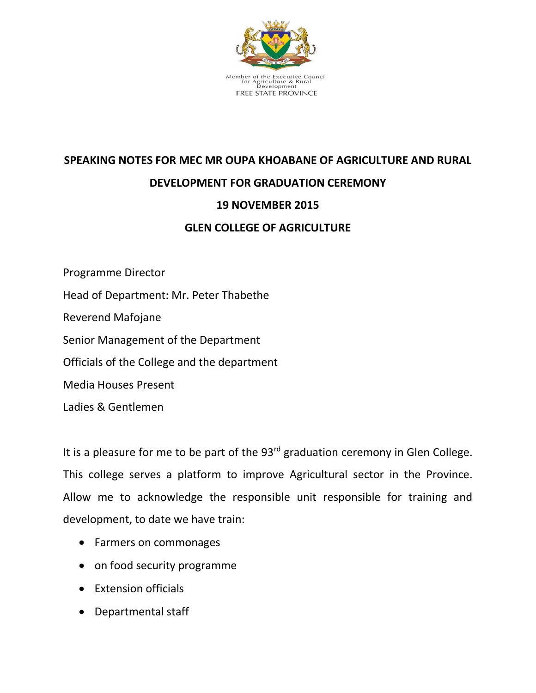

## **SPEAKING NOTES FOR MEC MR OUPA KHOABANE OF AGRICULTURE AND RURAL DEVELOPMENT FOR GRADUATION CEREMONY 19 NOVEMBER 2015 GLEN COLLEGE OF AGRICULTURE**

Programme Director Head of Department: Mr. Peter Thabethe Reverend Mafojane Senior Management of the Department Officials of the College and the department Media Houses Present Ladies & Gentlemen

It is a pleasure for me to be part of the  $93<sup>rd</sup>$  graduation ceremony in Glen College. This college serves a platform to improve Agricultural sector in the Province. Allow me to acknowledge the responsible unit responsible for training and development, to date we have train:

- Farmers on commonages
- on food security programme
- Extension officials
- Departmental staff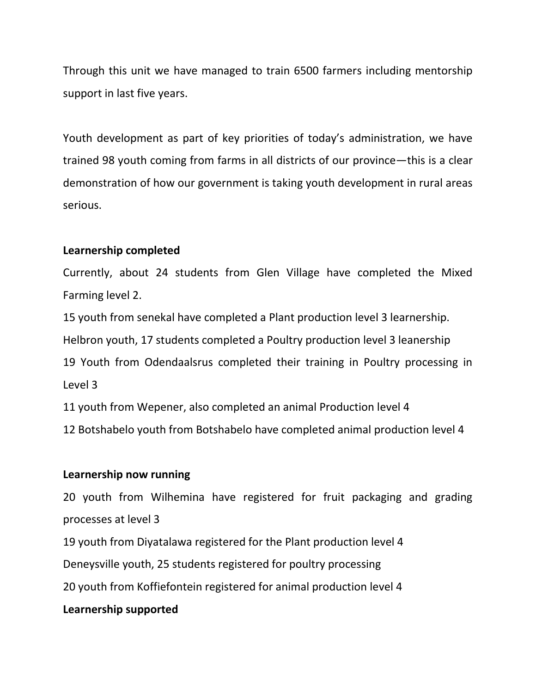Through this unit we have managed to train 6500 farmers including mentorship support in last five years.

Youth development as part of key priorities of today's administration, we have trained 98 youth coming from farms in all districts of our province—this is a clear demonstration of how our government is taking youth development in rural areas serious.

## **Learnership completed**

Currently, about 24 students from Glen Village have completed the Mixed Farming level 2.

15 youth from senekal have completed a Plant production level 3 learnership.

Helbron youth, 17 students completed a Poultry production level 3 leanership

19 Youth from Odendaalsrus completed their training in Poultry processing in Level 3

11 youth from Wepener, also completed an animal Production level 4

12 Botshabelo youth from Botshabelo have completed animal production level 4

## **Learnership now running**

20 youth from Wilhemina have registered for fruit packaging and grading processes at level 3

19 youth from Diyatalawa registered for the Plant production level 4

Deneysville youth, 25 students registered for poultry processing

20 youth from Koffiefontein registered for animal production level 4

## **Learnership supported**